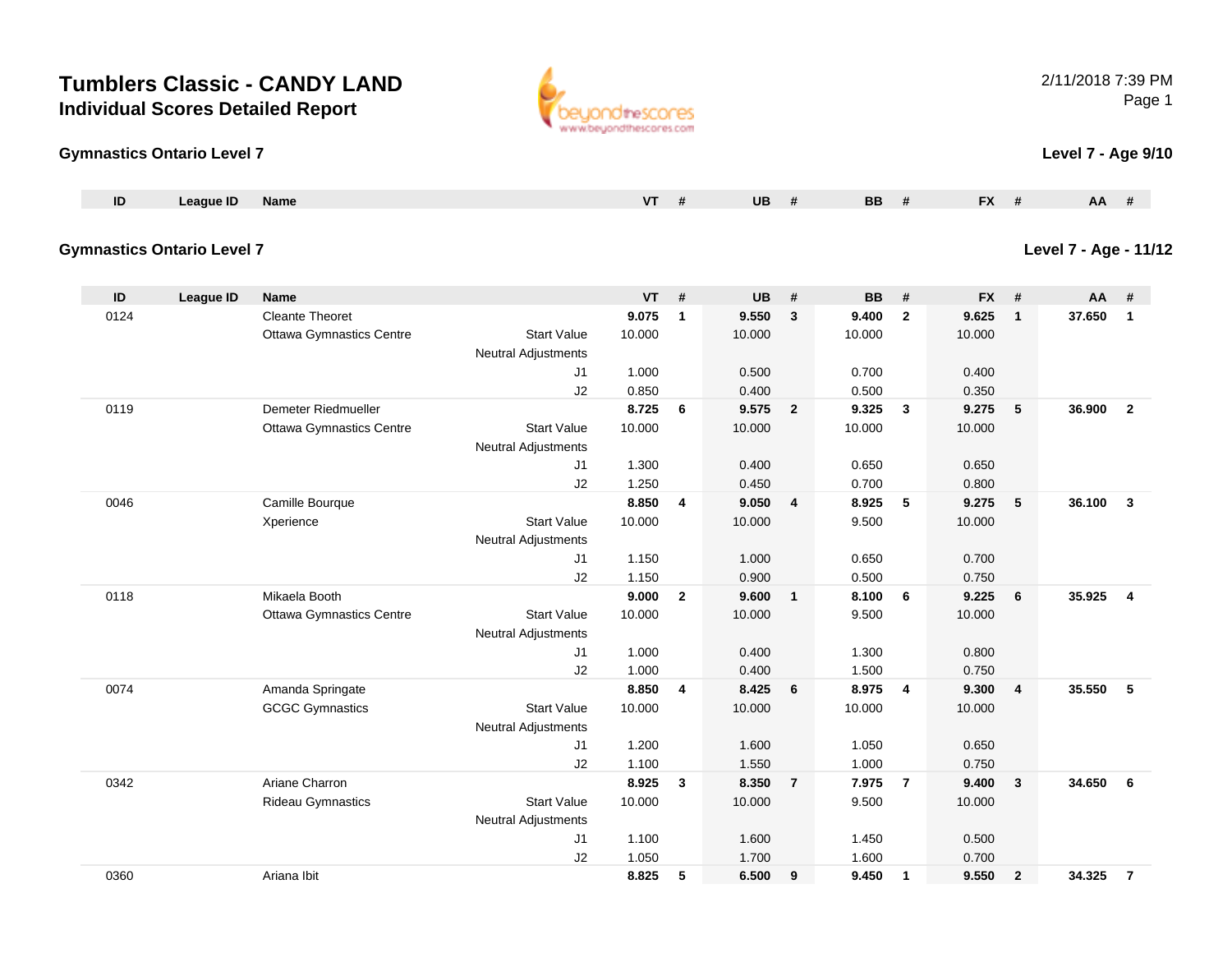#### **Gymnastics Ontario Level 7**

| ID | eague ID | <b>Name</b> | UB | DЕ<br>nг<br>-- | $\mathbf{r}$ | <b>AA</b> |
|----|----------|-------------|----|----------------|--------------|-----------|
|    |          |             |    |                |              |           |

#### **Gymnastics Ontario Level 7**

**ID League ID Name VT # UB # BB # FX # AA #** 0124 Cleante Theoret **9.075 <sup>1</sup> 9.550 <sup>3</sup> 9.400 <sup>2</sup> 9.625 <sup>1</sup> 37.650 <sup>1</sup>** Ottawa Gymnastics Centre Start Value 10.000 10.000 10.000 10.000 Neutral Adjustments J1 1.000 0.500 0.700 0.400 J2 0.850 0.400 0.500 0.350 0119 Demeter Riedmueller **8.725 <sup>6</sup> 9.575 <sup>2</sup> 9.325 <sup>3</sup> 9.275 <sup>5</sup> 36.900 <sup>2</sup>** Ottawa Gymnastics Centre Start Value 10.000 10.000 10.000 10.000 Neutral Adjustments J1 1.300 0.400 0.650 0.650 J2 1.250 0.450 0.700 0.800 0046 Camille Bourque **8.850 <sup>4</sup> 9.050 <sup>4</sup> 8.925 <sup>5</sup> 9.275 <sup>5</sup> 36.100 <sup>3</sup>** Xperience Start Value 10.000 10.000 9.500 10.000 Neutral Adjustments J1 1.150 1.000 0.650 0.700 J2 1.150 0.900 0.500 0.750 0118 Mikaela Booth **9.000 <sup>2</sup> 9.600 <sup>1</sup> 8.100 <sup>6</sup> 9.225 <sup>6</sup> 35.925 <sup>4</sup>** Ottawa Gymnastics Centre Start Value 10.000 10.000 9.500 10.000 Neutral Adjustments J1 1.000 0.400 1.300 0.800 J2 1.000 0.400 1.500 0.750 0074 Amanda Springate **8.850 <sup>4</sup> 8.425 <sup>6</sup> 8.975 <sup>4</sup> 9.300 <sup>4</sup> 35.550 <sup>5</sup>** GCGC Gymnastics Start Valuee 10.000 10.000 10.000 10.000 Neutral Adjustments J1 1.200 1.600 1.050 0.650 J2 1.100 1.550 1.000 0.750 0342 Ariane Charron **8.925 <sup>3</sup> 8.350 <sup>7</sup> 7.975 <sup>7</sup> 9.400 <sup>3</sup> 34.650 <sup>6</sup>** Rideau Gymnastics Start Valuee 10.000 10.000 9.500 10.000 Neutral Adjustments J1 1.100 1.600 1.450 0.500 J2 1.050 1.700 1.600 0.700 0360Ariana Ibit **8.825 <sup>5</sup> 6.500 <sup>9</sup> 9.450 <sup>1</sup> 9.550 <sup>2</sup> 34.325 <sup>7</sup>**

2/11/2018 7:39 PMPage 1

**Level 7 - Age 9/10**

**Level 7 - Age - 11/12**

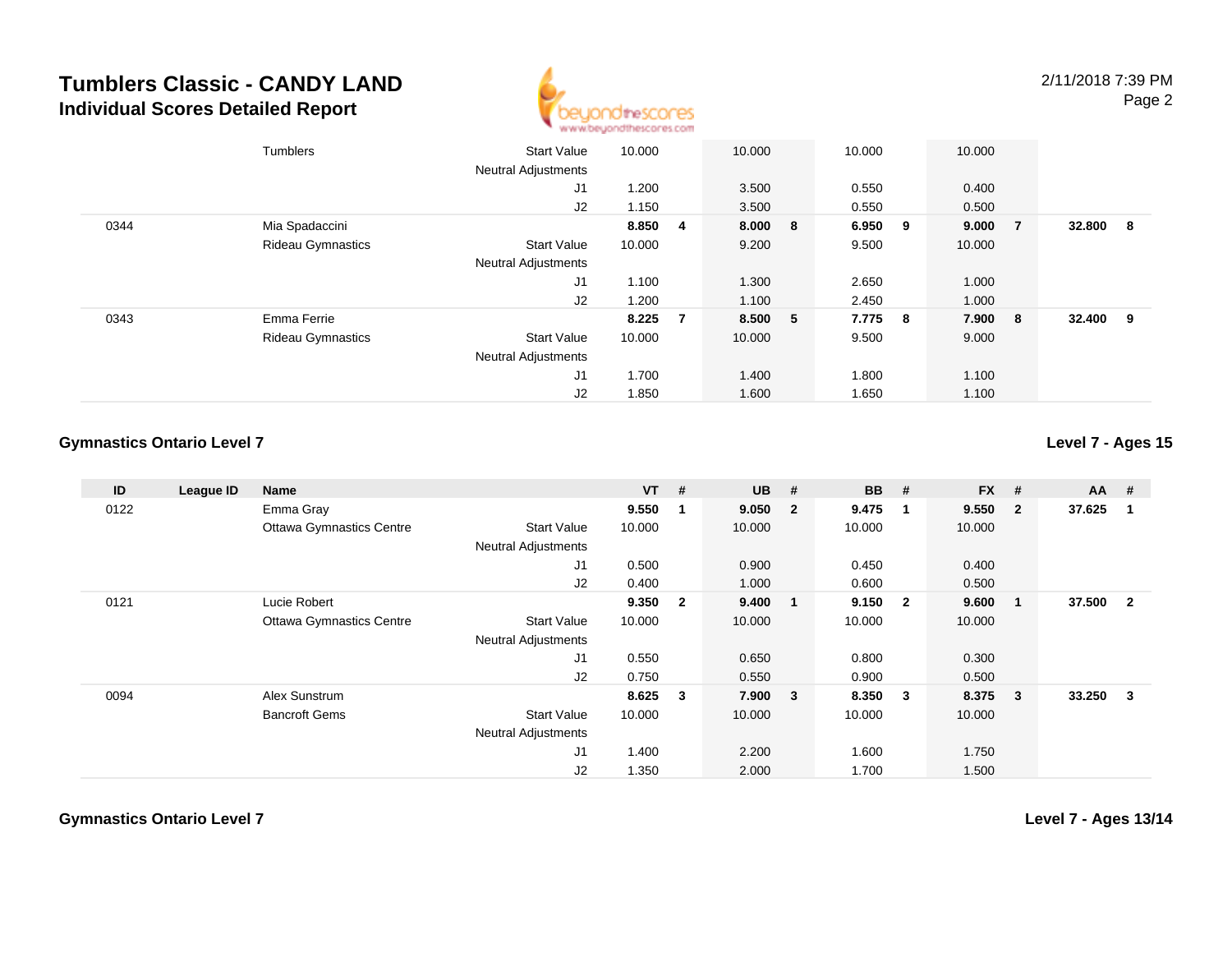

|      | <b>Tumblers</b>          | <b>Start Value</b><br><b>Neutral Adjustments</b> | 10.000 |                | 10.000  |   | 10.000 |     | 10.000  |                |        |     |
|------|--------------------------|--------------------------------------------------|--------|----------------|---------|---|--------|-----|---------|----------------|--------|-----|
|      |                          | J1                                               | 1.200  |                | 3.500   |   | 0.550  |     | 0.400   |                |        |     |
|      |                          | J2                                               | 1.150  |                | 3.500   |   | 0.550  |     | 0.500   |                |        |     |
| 0344 | Mia Spadaccini           |                                                  | 8.850  | 4              | 8.000 8 |   | 6.950  | - 9 | 9.000   | $\overline{7}$ | 32.800 | - 8 |
|      | <b>Rideau Gymnastics</b> | <b>Start Value</b>                               | 10.000 |                | 9.200   |   | 9.500  |     | 10.000  |                |        |     |
|      |                          | <b>Neutral Adjustments</b>                       |        |                |         |   |        |     |         |                |        |     |
|      |                          | J1                                               | 1.100  |                | 1.300   |   | 2.650  |     | 1.000   |                |        |     |
|      |                          | J2                                               | 1.200  |                | 1.100   |   | 2.450  |     | 1.000   |                |        |     |
| 0343 | Emma Ferrie              |                                                  | 8.225  | $\overline{7}$ | 8.500   | 5 | 7.775  | 8   | 7.900 8 |                | 32.400 | - 9 |
|      | <b>Rideau Gymnastics</b> | <b>Start Value</b>                               | 10.000 |                | 10.000  |   | 9.500  |     | 9.000   |                |        |     |
|      |                          | <b>Neutral Adjustments</b>                       |        |                |         |   |        |     |         |                |        |     |
|      |                          | J1                                               | 1.700  |                | 1.400   |   | 1.800  |     | 1.100   |                |        |     |
|      |                          | J2                                               | 1.850  |                | 1.600   |   | 1.650  |     | 1.100   |                |        |     |

### **Gymnastics Ontario Level 7**

**Level 7 - Ages 15**

| ID   | League ID | Name                            |                            | $VT$ #  |                         | <b>UB</b> | #                       | <b>BB</b> | - #                     | <b>FX</b> | #                       | $AA$ # |                |
|------|-----------|---------------------------------|----------------------------|---------|-------------------------|-----------|-------------------------|-----------|-------------------------|-----------|-------------------------|--------|----------------|
| 0122 |           | Emma Gray                       |                            | 9.550   | $\mathbf 1$             | 9.050     | $\overline{\mathbf{2}}$ | 9.475     | - 1                     | 9.550     | $\overline{\mathbf{2}}$ | 37.625 |                |
|      |           | <b>Ottawa Gymnastics Centre</b> | <b>Start Value</b>         | 10.000  |                         | 10.000    |                         | 10.000    |                         | 10.000    |                         |        |                |
|      |           |                                 | <b>Neutral Adjustments</b> |         |                         |           |                         |           |                         |           |                         |        |                |
|      |           |                                 | J1                         | 0.500   |                         | 0.900     |                         | 0.450     |                         | 0.400     |                         |        |                |
|      |           |                                 | J2                         | 0.400   |                         | 1.000     |                         | 0.600     |                         | 0.500     |                         |        |                |
| 0121 |           | Lucie Robert                    |                            | 9.350   | $\overline{\mathbf{2}}$ | 9.400     | -1                      | 9.150     | $\overline{\mathbf{2}}$ | 9.600     | $\mathbf 1$             | 37.500 | $\overline{2}$ |
|      |           | <b>Ottawa Gymnastics Centre</b> | <b>Start Value</b>         | 10.000  |                         | 10.000    |                         | 10.000    |                         | 10.000    |                         |        |                |
|      |           |                                 | <b>Neutral Adjustments</b> |         |                         |           |                         |           |                         |           |                         |        |                |
|      |           |                                 | J1                         | 0.550   |                         | 0.650     |                         | 0.800     |                         | 0.300     |                         |        |                |
|      |           |                                 | J <sub>2</sub>             | 0.750   |                         | 0.550     |                         | 0.900     |                         | 0.500     |                         |        |                |
| 0094 |           | Alex Sunstrum                   |                            | 8.625 3 |                         | 7.900     | $\overline{\mathbf{3}}$ | 8.350 3   |                         | 8.375     | $\mathbf{3}$            | 33.250 | 3              |
|      |           | <b>Bancroft Gems</b>            | <b>Start Value</b>         | 10.000  |                         | 10.000    |                         | 10.000    |                         | 10.000    |                         |        |                |
|      |           |                                 | <b>Neutral Adjustments</b> |         |                         |           |                         |           |                         |           |                         |        |                |
|      |           |                                 | J1                         | 1.400   |                         | 2.200     |                         | 1.600     |                         | 1.750     |                         |        |                |
|      |           |                                 | J <sub>2</sub>             | 1.350   |                         | 2.000     |                         | 1.700     |                         | 1.500     |                         |        |                |

**Gymnastics Ontario Level 7**

**Level 7 - Ages 13/14**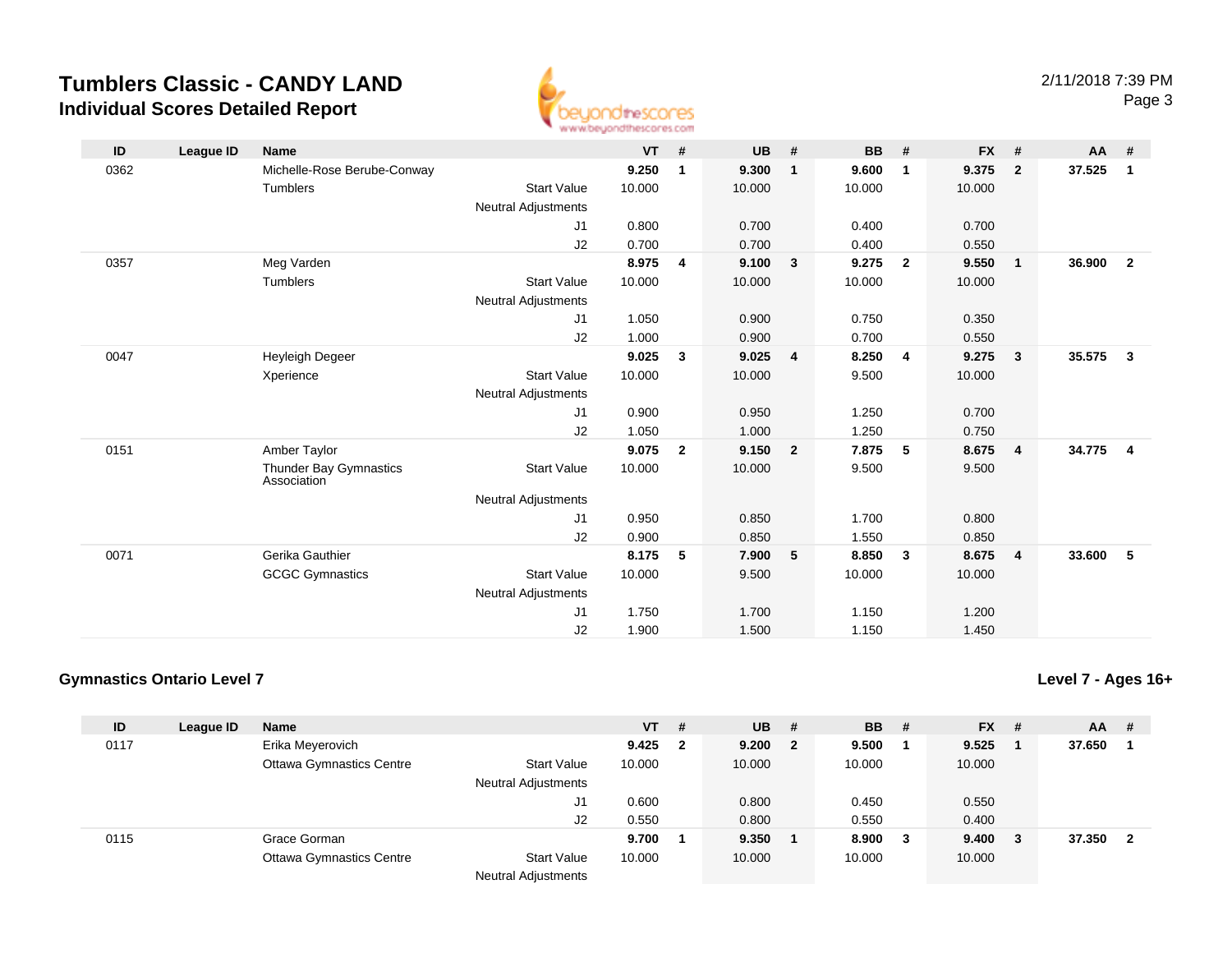

| ID   | League ID | <b>Name</b>                           |                            | $VT$ # |                | <b>UB</b> | #              | <b>BB</b> | #                       | $FX$ # |                         | AA     | #                       |
|------|-----------|---------------------------------------|----------------------------|--------|----------------|-----------|----------------|-----------|-------------------------|--------|-------------------------|--------|-------------------------|
| 0362 |           | Michelle-Rose Berube-Conway           |                            | 9.250  | 1              | 9.300     | $\mathbf{1}$   | 9.600     | 1                       | 9.375  | $\overline{2}$          | 37.525 | $\overline{1}$          |
|      |           | Tumblers                              | <b>Start Value</b>         | 10.000 |                | 10.000    |                | 10.000    |                         | 10.000 |                         |        |                         |
|      |           |                                       | <b>Neutral Adjustments</b> |        |                |           |                |           |                         |        |                         |        |                         |
|      |           |                                       | J1                         | 0.800  |                | 0.700     |                | 0.400     |                         | 0.700  |                         |        |                         |
|      |           |                                       | J2                         | 0.700  |                | 0.700     |                | 0.400     |                         | 0.550  |                         |        |                         |
| 0357 |           | Meg Varden                            |                            | 8.975  | 4              | 9.100     | 3              | 9.275     | $\overline{2}$          | 9.550  | $\overline{\mathbf{1}}$ | 36.900 | $\overline{\mathbf{2}}$ |
|      |           | Tumblers                              | <b>Start Value</b>         | 10.000 |                | 10.000    |                | 10.000    |                         | 10.000 |                         |        |                         |
|      |           |                                       | <b>Neutral Adjustments</b> |        |                |           |                |           |                         |        |                         |        |                         |
|      |           |                                       | J1                         | 1.050  |                | 0.900     |                | 0.750     |                         | 0.350  |                         |        |                         |
|      |           |                                       | J2                         | 1.000  |                | 0.900     |                | 0.700     |                         | 0.550  |                         |        |                         |
| 0047 |           | Heyleigh Degeer                       |                            | 9.025  | $\mathbf{3}$   | 9.025     | $\overline{4}$ | 8.250     | $\overline{\mathbf{4}}$ | 9.275  | $\mathbf{3}$            | 35.575 | $\overline{\mathbf{3}}$ |
|      |           | Xperience                             | <b>Start Value</b>         | 10.000 |                | 10.000    |                | 9.500     |                         | 10.000 |                         |        |                         |
|      |           |                                       | Neutral Adjustments        |        |                |           |                |           |                         |        |                         |        |                         |
|      |           |                                       | J1                         | 0.900  |                | 0.950     |                | 1.250     |                         | 0.700  |                         |        |                         |
|      |           |                                       | J2                         | 1.050  |                | 1.000     |                | 1.250     |                         | 0.750  |                         |        |                         |
| 0151 |           | Amber Taylor                          |                            | 9.075  | $\overline{2}$ | 9.150     | $\overline{2}$ | 7.875     | 5                       | 8.675  | $\overline{4}$          | 34.775 | $\overline{\mathbf{4}}$ |
|      |           | Thunder Bay Gymnastics<br>Association | <b>Start Value</b>         | 10.000 |                | 10.000    |                | 9.500     |                         | 9.500  |                         |        |                         |
|      |           |                                       | <b>Neutral Adjustments</b> |        |                |           |                |           |                         |        |                         |        |                         |
|      |           |                                       | J1                         | 0.950  |                | 0.850     |                | 1.700     |                         | 0.800  |                         |        |                         |
|      |           |                                       | J2                         | 0.900  |                | 0.850     |                | 1.550     |                         | 0.850  |                         |        |                         |
| 0071 |           | Gerika Gauthier                       |                            | 8.175  | 5              | 7.900     | 5              | 8.850     | $\mathbf{3}$            | 8.675  | $\overline{4}$          | 33.600 | 5                       |
|      |           | <b>GCGC Gymnastics</b>                | <b>Start Value</b>         | 10.000 |                | 9.500     |                | 10.000    |                         | 10.000 |                         |        |                         |
|      |           |                                       | <b>Neutral Adjustments</b> |        |                |           |                |           |                         |        |                         |        |                         |
|      |           |                                       | J1                         | 1.750  |                | 1.700     |                | 1.150     |                         | 1.200  |                         |        |                         |
|      |           |                                       | J2                         | 1.900  |                | 1.500     |                | 1.150     |                         | 1.450  |                         |        |                         |

### **Gymnastics Ontario Level 7**

**Level 7 - Ages 16+**

| ID   | League ID | <b>Name</b>                     |                                                  | $VT$ # |     | <b>UB</b> | - # | <b>BB</b> | -#  | <b>FX</b> | # | <b>AA</b> | # |
|------|-----------|---------------------------------|--------------------------------------------------|--------|-----|-----------|-----|-----------|-----|-----------|---|-----------|---|
| 0117 |           | Erika Meyerovich                |                                                  | 9.425  | - 2 | 9.200 2   |     | 9.500     |     | 9.525     |   | 37.650    |   |
|      |           | <b>Ottawa Gymnastics Centre</b> | <b>Start Value</b><br><b>Neutral Adjustments</b> | 10.000 |     | 10.000    |     | 10.000    |     | 10.000    |   |           |   |
|      |           |                                 | J1                                               | 0.600  |     | 0.800     |     | 0.450     |     | 0.550     |   |           |   |
|      |           |                                 | J2                                               | 0.550  |     | 0.800     |     | 0.550     |     | 0.400     |   |           |   |
| 0115 |           | Grace Gorman                    |                                                  | 9.700  |     | 9.350     |     | 8.900     | - 3 | 9.400     | 3 | 37.350    |   |
|      |           | <b>Ottawa Gymnastics Centre</b> | <b>Start Value</b><br><b>Neutral Adjustments</b> | 10.000 |     | 10.000    |     | 10.000    |     | 10.000    |   |           |   |